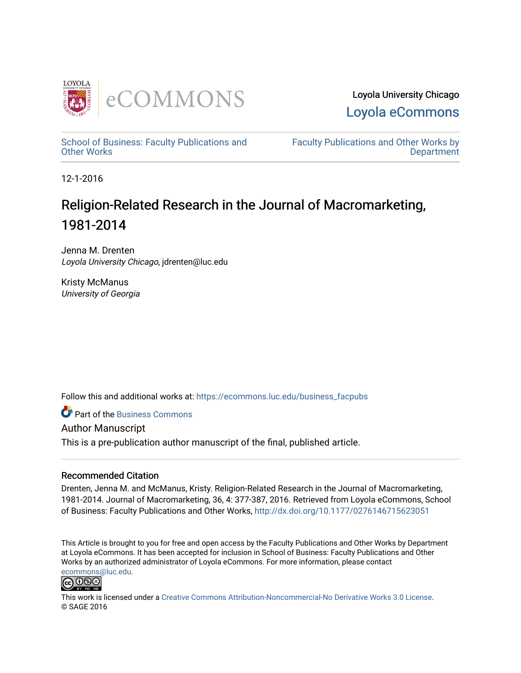

Loyola University Chicago [Loyola eCommons](https://ecommons.luc.edu/) 

[School of Business: Faculty Publications and](https://ecommons.luc.edu/business_facpubs) [Other Works](https://ecommons.luc.edu/business_facpubs)

[Faculty Publications and Other Works by](https://ecommons.luc.edu/faculty)  **Department** 

12-1-2016

# Religion-Related Research in the Journal of Macromarketing, 1981-2014

Jenna M. Drenten Loyola University Chicago, jdrenten@luc.edu

Kristy McManus University of Georgia

Follow this and additional works at: [https://ecommons.luc.edu/business\\_facpubs](https://ecommons.luc.edu/business_facpubs?utm_source=ecommons.luc.edu%2Fbusiness_facpubs%2F168&utm_medium=PDF&utm_campaign=PDFCoverPages) 

**C** Part of the [Business Commons](http://network.bepress.com/hgg/discipline/622?utm_source=ecommons.luc.edu%2Fbusiness_facpubs%2F168&utm_medium=PDF&utm_campaign=PDFCoverPages)

Author Manuscript This is a pre-publication author manuscript of the final, published article.

#### Recommended Citation

Drenten, Jenna M. and McManus, Kristy. Religion-Related Research in the Journal of Macromarketing, 1981-2014. Journal of Macromarketing, 36, 4: 377-387, 2016. Retrieved from Loyola eCommons, School of Business: Faculty Publications and Other Works,<http://dx.doi.org/10.1177/0276146715623051>

This Article is brought to you for free and open access by the Faculty Publications and Other Works by Department at Loyola eCommons. It has been accepted for inclusion in School of Business: Faculty Publications and Other Works by an authorized administrator of Loyola eCommons. For more information, please contact [ecommons@luc.edu](mailto:ecommons@luc.edu).



This work is licensed under a [Creative Commons Attribution-Noncommercial-No Derivative Works 3.0 License.](https://creativecommons.org/licenses/by-nc-nd/3.0/) © SAGE 2016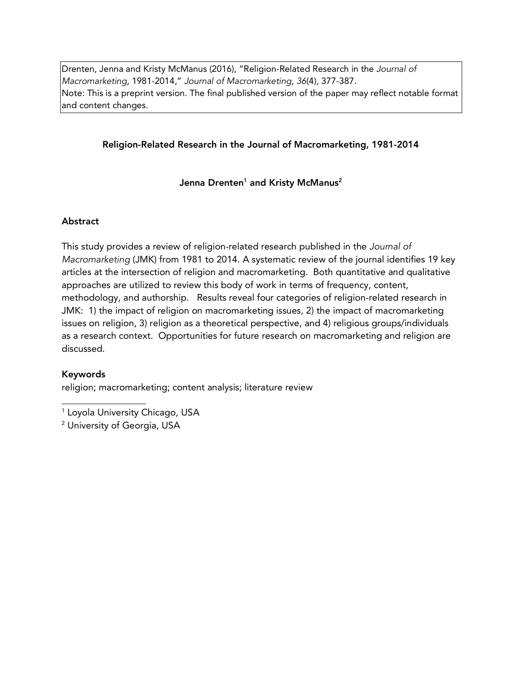Drenten, Jenna and Kristy McManus (2016), "Religion-Related Research in the *Journal of Macromarketing*, 1981-2014," *Journal of Macromarketing*, *36*(4), 377-387. Note: This is a preprint version. The final published version of the paper may reflect notable format and content changes.

# Religion-Related Research in the Journal of Macromarketing, 1981-2014

Jenna Drenten<sup>1</sup> and Kristy McManus<sup>2</sup>

# Abstract

This study provides a review of religion-related research published in the *Journal of Macromarketing* (JMK) from 1981 to 2014. A systematic review of the journal identifies 19 key articles at the intersection of religion and macromarketing. Both quantitative and qualitative approaches are utilized to review this body of work in terms of frequency, content, methodology, and authorship. Results reveal four categories of religion-related research in JMK: 1) the impact of religion on macromarketing issues, 2) the impact of macromarketing issues on religion, 3) religion as a theoretical perspective, and 4) religious groups/individuals as a research context. Opportunities for future research on macromarketing and religion are discussed.

# Keywords

religion; macromarketing; content analysis; literature review

<sup>1</sup> Loyola University Chicago, USA

\_\_\_\_\_\_\_\_\_\_\_\_\_\_\_\_\_\_

<sup>2</sup> University of Georgia, USA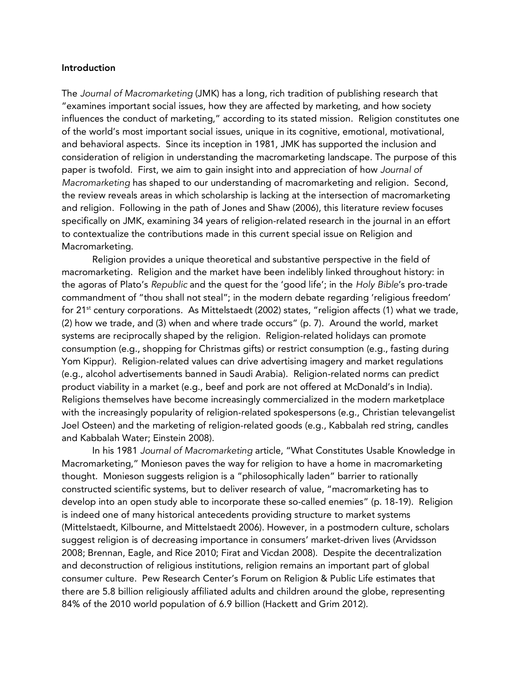#### Introduction

The *Journal of Macromarketing* (JMK) has a long, rich tradition of publishing research that "examines important social issues, how they are affected by marketing, and how society influences the conduct of marketing," according to its stated mission. Religion constitutes one of the world's most important social issues, unique in its cognitive, emotional, motivational, and behavioral aspects. Since its inception in 1981, JMK has supported the inclusion and consideration of religion in understanding the macromarketing landscape. The purpose of this paper is twofold. First, we aim to gain insight into and appreciation of how *Journal of Macromarketing* has shaped to our understanding of macromarketing and religion. Second, the review reveals areas in which scholarship is lacking at the intersection of macromarketing and religion. Following in the path of Jones and Shaw (2006), this literature review focuses specifically on JMK, examining 34 years of religion-related research in the journal in an effort to contextualize the contributions made in this current special issue on Religion and Macromarketing.

Religion provides a unique theoretical and substantive perspective in the field of macromarketing. Religion and the market have been indelibly linked throughout history: in the agoras of Plato's *Republic* and the quest for the 'good life'; in the *Holy Bible*'s pro-trade commandment of "thou shall not steal"; in the modern debate regarding 'religious freedom' for 21<sup>st</sup> century corporations. As Mittelstaedt (2002) states, "religion affects (1) what we trade, (2) how we trade, and (3) when and where trade occurs" (p. 7). Around the world, market systems are reciprocally shaped by the religion. Religion-related holidays can promote consumption (e.g., shopping for Christmas gifts) or restrict consumption (e.g., fasting during Yom Kippur). Religion-related values can drive advertising imagery and market regulations (e.g., alcohol advertisements banned in Saudi Arabia). Religion-related norms can predict product viability in a market (e.g., beef and pork are not offered at McDonald's in India). Religions themselves have become increasingly commercialized in the modern marketplace with the increasingly popularity of religion-related spokespersons (e.g., Christian televangelist Joel Osteen) and the marketing of religion-related goods (e.g., Kabbalah red string, candles and Kabbalah Water; Einstein 2008).

In his 1981 *Journal of Macromarketing* article, "What Constitutes Usable Knowledge in Macromarketing," Monieson paves the way for religion to have a home in macromarketing thought. Monieson suggests religion is a "philosophically laden" barrier to rationally constructed scientific systems, but to deliver research of value, "macromarketing has to develop into an open study able to incorporate these so-called enemies" (p. 18-19). Religion is indeed one of many historical antecedents providing structure to market systems (Mittelstaedt, Kilbourne, and Mittelstaedt 2006). However, in a postmodern culture, scholars suggest religion is of decreasing importance in consumers' market-driven lives (Arvidsson 2008; Brennan, Eagle, and Rice 2010; Firat and Vicdan 2008). Despite the decentralization and deconstruction of religious institutions, religion remains an important part of global consumer culture. Pew Research Center's Forum on Religion & Public Life estimates that there are 5.8 billion religiously affiliated adults and children around the globe, representing 84% of the 2010 world population of 6.9 billion (Hackett and Grim 2012).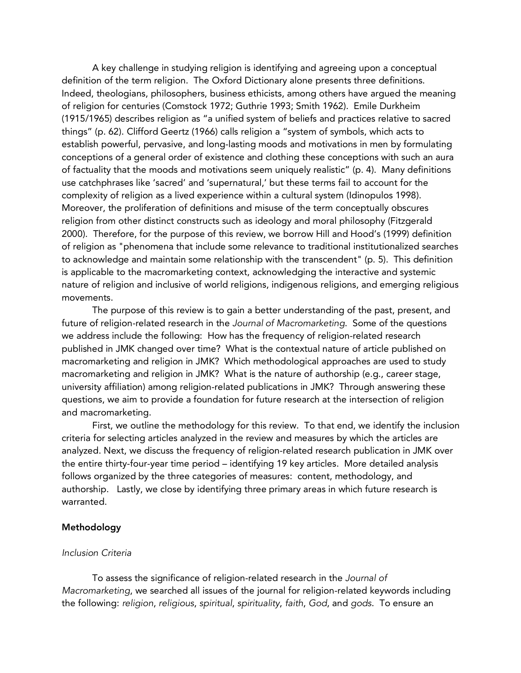A key challenge in studying religion is identifying and agreeing upon a conceptual definition of the term religion. The Oxford Dictionary alone presents three definitions. Indeed, theologians, philosophers, business ethicists, among others have argued the meaning of religion for centuries (Comstock 1972; Guthrie 1993; Smith 1962). Emile Durkheim (1915/1965) describes religion as "a unified system of beliefs and practices relative to sacred things" (p. 62). Clifford Geertz (1966) calls religion a "system of symbols, which acts to establish powerful, pervasive, and long-lasting moods and motivations in men by formulating conceptions of a general order of existence and clothing these conceptions with such an aura of factuality that the moods and motivations seem uniquely realistic" (p. 4). Many definitions use catchphrases like 'sacred' and 'supernatural,' but these terms fail to account for the complexity of religion as a lived experience within a cultural system (Idinopulos 1998). Moreover, the proliferation of definitions and misuse of the term conceptually obscures religion from other distinct constructs such as ideology and moral philosophy (Fitzgerald 2000). Therefore, for the purpose of this review, we borrow Hill and Hood's (1999) definition of religion as "phenomena that include some relevance to traditional institutionalized searches to acknowledge and maintain some relationship with the transcendent" (p. 5). This definition is applicable to the macromarketing context, acknowledging the interactive and systemic nature of religion and inclusive of world religions, indigenous religions, and emerging religious movements.

The purpose of this review is to gain a better understanding of the past, present, and future of religion-related research in the *Journal of Macromarketing*. Some of the questions we address include the following: How has the frequency of religion-related research published in JMK changed over time? What is the contextual nature of article published on macromarketing and religion in JMK? Which methodological approaches are used to study macromarketing and religion in JMK? What is the nature of authorship (e.g., career stage, university affiliation) among religion-related publications in JMK? Through answering these questions, we aim to provide a foundation for future research at the intersection of religion and macromarketing.

First, we outline the methodology for this review. To that end, we identify the inclusion criteria for selecting articles analyzed in the review and measures by which the articles are analyzed. Next, we discuss the frequency of religion-related research publication in JMK over the entire thirty-four-year time period – identifying 19 key articles. More detailed analysis follows organized by the three categories of measures: content, methodology, and authorship. Lastly, we close by identifying three primary areas in which future research is warranted.

#### Methodology

#### *Inclusion Criteria*

To assess the significance of religion-related research in the *Journal of Macromarketing*, we searched all issues of the journal for religion-related keywords including the following: *religion*, *religious*, *spiritual*, *spirituality*, *faith*, *God*, and *gods*. To ensure an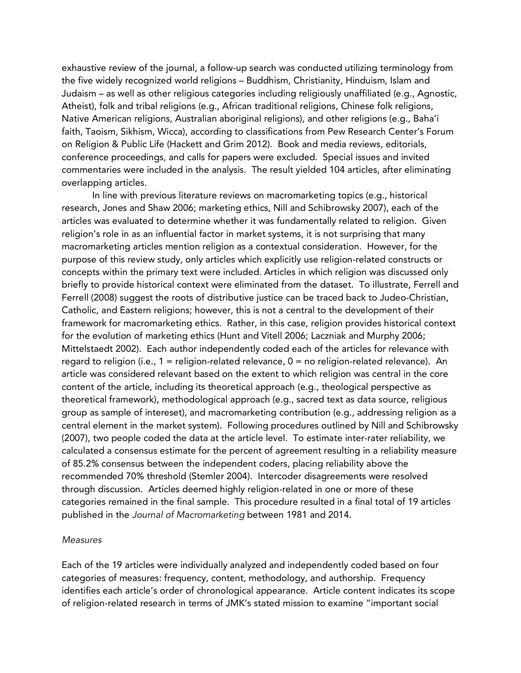exhaustive review of the journal, a follow-up search was conducted utilizing terminology from the five widely recognized world religions – Buddhism, Christianity, Hinduism, Islam and Judaism – as well as other religious categories including religiously unaffiliated (e.g., Agnostic, Atheist), folk and tribal religions (e.g., African traditional religions, Chinese folk religions, Native American religions, Australian aboriginal religions), and other religions (e.g., Baha'i faith, Taoism, Sikhism, Wicca), according to classifications from Pew Research Center's Forum on Religion & Public Life (Hackett and Grim 2012). Book and media reviews, editorials, conference proceedings, and calls for papers were excluded. Special issues and invited commentaries were included in the analysis. The result yielded 104 articles, after eliminating overlapping articles.

In line with previous literature reviews on macromarketing topics (e.g., historical research, Jones and Shaw 2006; marketing ethics, Nill and Schibrowsky 2007), each of the articles was evaluated to determine whether it was fundamentally related to religion. Given religion's role in as an influential factor in market systems, it is not surprising that many macromarketing articles mention religion as a contextual consideration. However, for the purpose of this review study, only articles which explicitly use religion-related constructs or concepts within the primary text were included. Articles in which religion was discussed only briefly to provide historical context were eliminated from the dataset. To illustrate, Ferrell and Ferrell (2008) suggest the roots of distributive justice can be traced back to Judeo-Christian, Catholic, and Eastern religions; however, this is not a central to the development of their framework for macromarketing ethics. Rather, in this case, religion provides historical context for the evolution of marketing ethics (Hunt and Vitell 2006; Laczniak and Murphy 2006; Mittelstaedt 2002). Each author independently coded each of the articles for relevance with regard to religion (i.e., 1 = religion-related relevance, 0 = no religion-related relevance). An article was considered relevant based on the extent to which religion was central in the core content of the article, including its theoretical approach (e.g., theological perspective as theoretical framework), methodological approach (e.g., sacred text as data source, religious group as sample of intereset), and macromarketing contribution (e.g., addressing religion as a central element in the market system). Following procedures outlined by Nill and Schibrowsky (2007), two people coded the data at the article level. To estimate inter-rater reliability, we calculated a consensus estimate for the percent of agreement resulting in a reliability measure of 85.2% consensus between the independent coders, placing reliability above the recommended 70% threshold (Stemler 2004). Intercoder disagreements were resolved through discussion. Articles deemed highly religion-related in one or more of these categories remained in the final sample. This procedure resulted in a final total of 19 articles published in the *Journal of Macromarketing* between 1981 and 2014.

#### *Measures*

Each of the 19 articles were individually analyzed and independently coded based on four categories of measures: frequency, content, methodology, and authorship. Frequency identifies each article's order of chronological appearance. Article content indicates its scope of religion-related research in terms of JMK's stated mission to examine "important social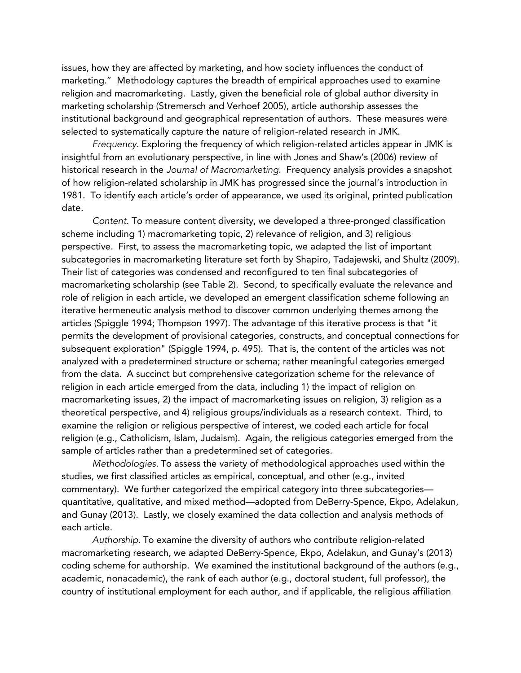issues, how they are affected by marketing, and how society influences the conduct of marketing." Methodology captures the breadth of empirical approaches used to examine religion and macromarketing. Lastly, given the beneficial role of global author diversity in marketing scholarship (Stremersch and Verhoef 2005), article authorship assesses the institutional background and geographical representation of authors. These measures were selected to systematically capture the nature of religion-related research in JMK.

*Frequency*. Exploring the frequency of which religion-related articles appear in JMK is insightful from an evolutionary perspective, in line with Jones and Shaw's (2006) review of historical research in the *Journal of Macromarketing*. Frequency analysis provides a snapshot of how religion-related scholarship in JMK has progressed since the journal's introduction in 1981. To identify each article's order of appearance, we used its original, printed publication date.

*Content.* To measure content diversity, we developed a three-pronged classification scheme including 1) macromarketing topic, 2) relevance of religion, and 3) religious perspective. First, to assess the macromarketing topic, we adapted the list of important subcategories in macromarketing literature set forth by Shapiro, Tadajewski, and Shultz (2009). Their list of categories was condensed and reconfigured to ten final subcategories of macromarketing scholarship (see Table 2). Second, to specifically evaluate the relevance and role of religion in each article, we developed an emergent classification scheme following an iterative hermeneutic analysis method to discover common underlying themes among the articles (Spiggle 1994; Thompson 1997). The advantage of this iterative process is that "it permits the development of provisional categories, constructs, and conceptual connections for subsequent exploration" (Spiggle 1994, p. 495). That is, the content of the articles was not analyzed with a predetermined structure or schema; rather meaningful categories emerged from the data. A succinct but comprehensive categorization scheme for the relevance of religion in each article emerged from the data, including 1) the impact of religion on macromarketing issues, 2) the impact of macromarketing issues on religion, 3) religion as a theoretical perspective, and 4) religious groups/individuals as a research context. Third, to examine the religion or religious perspective of interest, we coded each article for focal religion (e.g., Catholicism, Islam, Judaism). Again, the religious categories emerged from the sample of articles rather than a predetermined set of categories.

*Methodologies*. To assess the variety of methodological approaches used within the studies, we first classified articles as empirical, conceptual, and other (e.g., invited commentary). We further categorized the empirical category into three subcategories quantitative, qualitative, and mixed method—adopted from DeBerry-Spence, Ekpo, Adelakun, and Gunay (2013). Lastly, we closely examined the data collection and analysis methods of each article.

*Authorship*. To examine the diversity of authors who contribute religion-related macromarketing research, we adapted DeBerry-Spence, Ekpo, Adelakun, and Gunay's (2013) coding scheme for authorship. We examined the institutional background of the authors (e.g., academic, nonacademic), the rank of each author (e.g., doctoral student, full professor), the country of institutional employment for each author, and if applicable, the religious affiliation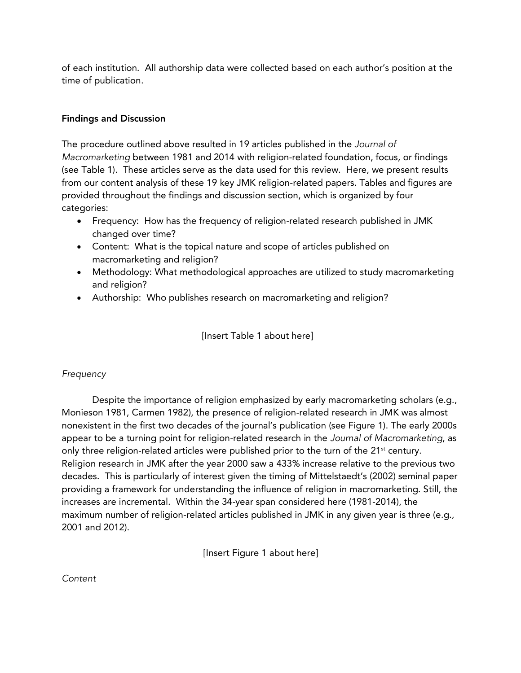of each institution. All authorship data were collected based on each author's position at the time of publication.

# Findings and Discussion

The procedure outlined above resulted in 19 articles published in the *Journal of Macromarketing* between 1981 and 2014 with religion-related foundation, focus, or findings (see Table 1). These articles serve as the data used for this review. Here, we present results from our content analysis of these 19 key JMK religion-related papers. Tables and figures are provided throughout the findings and discussion section, which is organized by four categories:

- Frequency: How has the frequency of religion-related research published in JMK changed over time?
- Content: What is the topical nature and scope of articles published on macromarketing and religion?
- Methodology: What methodological approaches are utilized to study macromarketing and religion?
- Authorship: Who publishes research on macromarketing and religion?

[Insert Table 1 about here]

# *Frequency*

Despite the importance of religion emphasized by early macromarketing scholars (e.g., Monieson 1981, Carmen 1982), the presence of religion-related research in JMK was almost nonexistent in the first two decades of the journal's publication (see Figure 1). The early 2000s appear to be a turning point for religion-related research in the *Journal of Macromarketing*, as only three religion-related articles were published prior to the turn of the  $21<sup>st</sup>$  century. Religion research in JMK after the year 2000 saw a 433% increase relative to the previous two decades. This is particularly of interest given the timing of Mittelstaedt's (2002) seminal paper providing a framework for understanding the influence of religion in macromarketing. Still, the increases are incremental. Within the 34-year span considered here (1981-2014), the maximum number of religion-related articles published in JMK in any given year is three (e.g., 2001 and 2012).

[Insert Figure 1 about here]

*Content*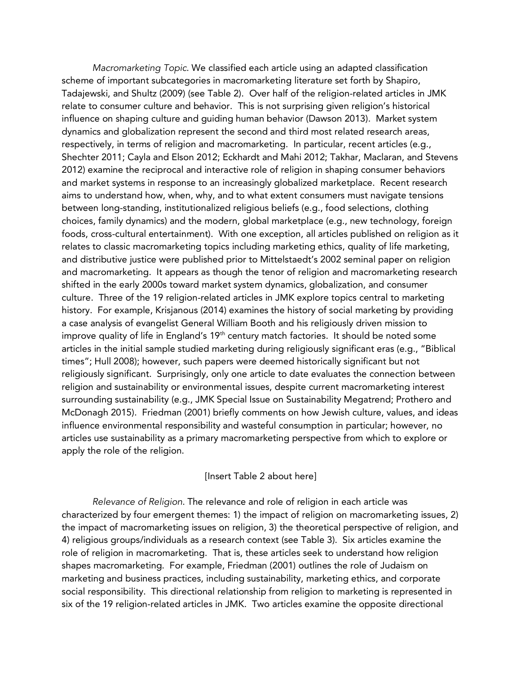*Macromarketing Topic*. We classified each article using an adapted classification scheme of important subcategories in macromarketing literature set forth by Shapiro, Tadajewski, and Shultz (2009) (see Table 2). Over half of the religion-related articles in JMK relate to consumer culture and behavior. This is not surprising given religion's historical influence on shaping culture and guiding human behavior (Dawson 2013). Market system dynamics and globalization represent the second and third most related research areas, respectively, in terms of religion and macromarketing. In particular, recent articles (e.g., Shechter 2011; Cayla and Elson 2012; Eckhardt and Mahi 2012; Takhar, Maclaran, and Stevens 2012) examine the reciprocal and interactive role of religion in shaping consumer behaviors and market systems in response to an increasingly globalized marketplace. Recent research aims to understand how, when, why, and to what extent consumers must navigate tensions between long-standing, institutionalized religious beliefs (e.g., food selections, clothing choices, family dynamics) and the modern, global marketplace (e.g., new technology, foreign foods, cross-cultural entertainment). With one exception, all articles published on religion as it relates to classic macromarketing topics including marketing ethics, quality of life marketing, and distributive justice were published prior to Mittelstaedt's 2002 seminal paper on religion and macromarketing. It appears as though the tenor of religion and macromarketing research shifted in the early 2000s toward market system dynamics, globalization, and consumer culture. Three of the 19 religion-related articles in JMK explore topics central to marketing history. For example, Krisjanous (2014) examines the history of social marketing by providing a case analysis of evangelist General William Booth and his religiously driven mission to improve quality of life in England's 19<sup>th</sup> century match factories. It should be noted some articles in the initial sample studied marketing during religiously significant eras (e.g., "Biblical times"; Hull 2008); however, such papers were deemed historically significant but not religiously significant. Surprisingly, only one article to date evaluates the connection between religion and sustainability or environmental issues, despite current macromarketing interest surrounding sustainability (e.g., JMK Special Issue on Sustainability Megatrend; Prothero and McDonagh 2015). Friedman (2001) briefly comments on how Jewish culture, values, and ideas influence environmental responsibility and wasteful consumption in particular; however, no articles use sustainability as a primary macromarketing perspective from which to explore or apply the role of the religion.

#### [Insert Table 2 about here]

*Relevance of Religion*. The relevance and role of religion in each article was characterized by four emergent themes: 1) the impact of religion on macromarketing issues, 2) the impact of macromarketing issues on religion, 3) the theoretical perspective of religion, and 4) religious groups/individuals as a research context (see Table 3). Six articles examine the role of religion in macromarketing. That is, these articles seek to understand how religion shapes macromarketing. For example, Friedman (2001) outlines the role of Judaism on marketing and business practices, including sustainability, marketing ethics, and corporate social responsibility. This directional relationship from religion to marketing is represented in six of the 19 religion-related articles in JMK. Two articles examine the opposite directional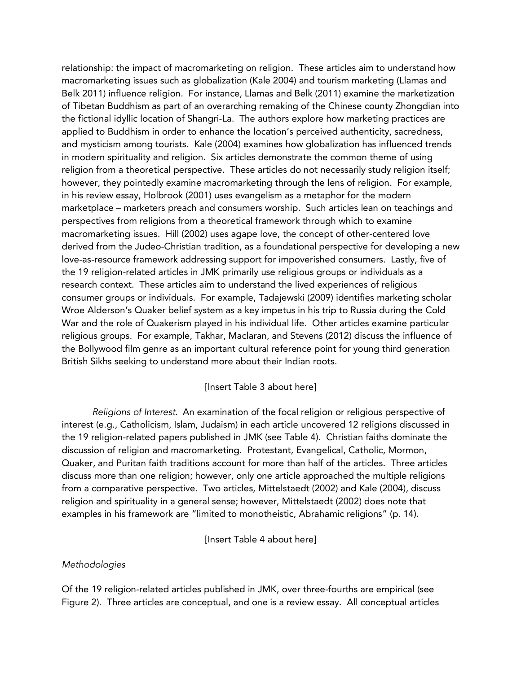relationship: the impact of macromarketing on religion. These articles aim to understand how macromarketing issues such as globalization (Kale 2004) and tourism marketing (Llamas and Belk 2011) influence religion. For instance, Llamas and Belk (2011) examine the marketization of Tibetan Buddhism as part of an overarching remaking of the Chinese county Zhongdian into the fictional idyllic location of Shangri-La. The authors explore how marketing practices are applied to Buddhism in order to enhance the location's perceived authenticity, sacredness, and mysticism among tourists. Kale (2004) examines how globalization has influenced trends in modern spirituality and religion. Six articles demonstrate the common theme of using religion from a theoretical perspective. These articles do not necessarily study religion itself; however, they pointedly examine macromarketing through the lens of religion. For example, in his review essay, Holbrook (2001) uses evangelism as a metaphor for the modern marketplace – marketers preach and consumers worship. Such articles lean on teachings and perspectives from religions from a theoretical framework through which to examine macromarketing issues. Hill (2002) uses agape love, the concept of other-centered love derived from the Judeo-Christian tradition, as a foundational perspective for developing a new love-as-resource framework addressing support for impoverished consumers. Lastly, five of the 19 religion-related articles in JMK primarily use religious groups or individuals as a research context. These articles aim to understand the lived experiences of religious consumer groups or individuals. For example, Tadajewski (2009) identifies marketing scholar Wroe Alderson's Quaker belief system as a key impetus in his trip to Russia during the Cold War and the role of Quakerism played in his individual life. Other articles examine particular religious groups. For example, Takhar, Maclaran, and Stevens (2012) discuss the influence of the Bollywood film genre as an important cultural reference point for young third generation British Sikhs seeking to understand more about their Indian roots.

#### [Insert Table 3 about here]

*Religions of Interest*. An examination of the focal religion or religious perspective of interest (e.g., Catholicism, Islam, Judaism) in each article uncovered 12 religions discussed in the 19 religion-related papers published in JMK (see Table 4). Christian faiths dominate the discussion of religion and macromarketing. Protestant, Evangelical, Catholic, Mormon, Quaker, and Puritan faith traditions account for more than half of the articles. Three articles discuss more than one religion; however, only one article approached the multiple religions from a comparative perspective. Two articles, Mittelstaedt (2002) and Kale (2004), discuss religion and spirituality in a general sense; however, Mittelstaedt (2002) does note that examples in his framework are "limited to monotheistic, Abrahamic religions" (p. 14).

[Insert Table 4 about here]

#### *Methodologies*

Of the 19 religion-related articles published in JMK, over three-fourths are empirical (see Figure 2). Three articles are conceptual, and one is a review essay. All conceptual articles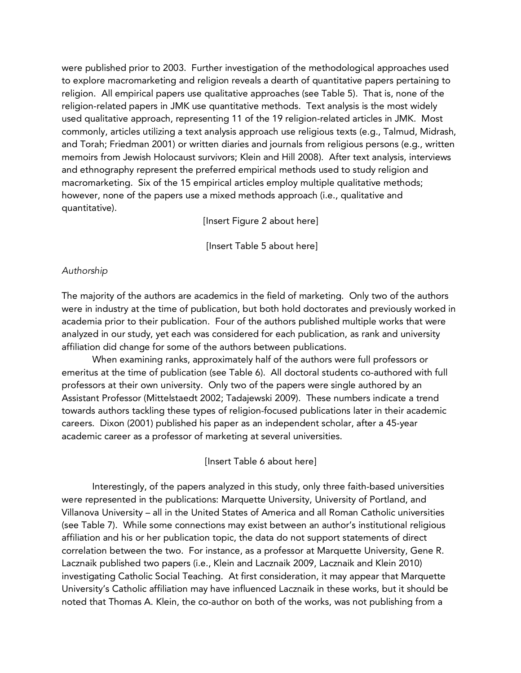were published prior to 2003. Further investigation of the methodological approaches used to explore macromarketing and religion reveals a dearth of quantitative papers pertaining to religion. All empirical papers use qualitative approaches (see Table 5). That is, none of the religion-related papers in JMK use quantitative methods. Text analysis is the most widely used qualitative approach, representing 11 of the 19 religion-related articles in JMK. Most commonly, articles utilizing a text analysis approach use religious texts (e.g., Talmud, Midrash, and Torah; Friedman 2001) or written diaries and journals from religious persons (e.g., written memoirs from Jewish Holocaust survivors; Klein and Hill 2008). After text analysis, interviews and ethnography represent the preferred empirical methods used to study religion and macromarketing. Six of the 15 empirical articles employ multiple qualitative methods; however, none of the papers use a mixed methods approach (i.e., qualitative and quantitative).

[Insert Figure 2 about here]

[Insert Table 5 about here]

#### *Authorship*

The majority of the authors are academics in the field of marketing. Only two of the authors were in industry at the time of publication, but both hold doctorates and previously worked in academia prior to their publication. Four of the authors published multiple works that were analyzed in our study, yet each was considered for each publication, as rank and university affiliation did change for some of the authors between publications.

When examining ranks, approximately half of the authors were full professors or emeritus at the time of publication (see Table 6). All doctoral students co-authored with full professors at their own university. Only two of the papers were single authored by an Assistant Professor (Mittelstaedt 2002; Tadajewski 2009). These numbers indicate a trend towards authors tackling these types of religion-focused publications later in their academic careers. Dixon (2001) published his paper as an independent scholar, after a 45-year academic career as a professor of marketing at several universities.

[Insert Table 6 about here]

Interestingly, of the papers analyzed in this study, only three faith-based universities were represented in the publications: Marquette University, University of Portland, and Villanova University – all in the United States of America and all Roman Catholic universities (see Table 7). While some connections may exist between an author's institutional religious affiliation and his or her publication topic, the data do not support statements of direct correlation between the two. For instance, as a professor at Marquette University, Gene R. Lacznaik published two papers (i.e., Klein and Lacznaik 2009, Lacznaik and Klein 2010) investigating Catholic Social Teaching. At first consideration, it may appear that Marquette University's Catholic affiliation may have influenced Lacznaik in these works, but it should be noted that Thomas A. Klein, the co-author on both of the works, was not publishing from a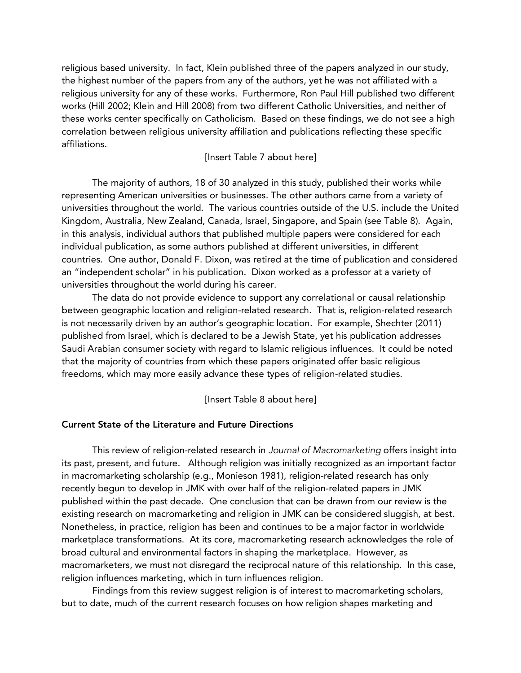religious based university. In fact, Klein published three of the papers analyzed in our study, the highest number of the papers from any of the authors, yet he was not affiliated with a religious university for any of these works. Furthermore, Ron Paul Hill published two different works (Hill 2002; Klein and Hill 2008) from two different Catholic Universities, and neither of these works center specifically on Catholicism. Based on these findings, we do not see a high correlation between religious university affiliation and publications reflecting these specific affiliations.

#### [Insert Table 7 about here]

The majority of authors, 18 of 30 analyzed in this study, published their works while representing American universities or businesses. The other authors came from a variety of universities throughout the world. The various countries outside of the U.S. include the United Kingdom, Australia, New Zealand, Canada, Israel, Singapore, and Spain (see Table 8). Again, in this analysis, individual authors that published multiple papers were considered for each individual publication, as some authors published at different universities, in different countries. One author, Donald F. Dixon, was retired at the time of publication and considered an "independent scholar" in his publication. Dixon worked as a professor at a variety of universities throughout the world during his career.

The data do not provide evidence to support any correlational or causal relationship between geographic location and religion-related research. That is, religion-related research is not necessarily driven by an author's geographic location. For example, Shechter (2011) published from Israel, which is declared to be a Jewish State, yet his publication addresses Saudi Arabian consumer society with regard to Islamic religious influences. It could be noted that the majority of countries from which these papers originated offer basic religious freedoms, which may more easily advance these types of religion-related studies.

#### [Insert Table 8 about here]

#### Current State of the Literature and Future Directions

This review of religion-related research in *Journal of Macromarketing* offers insight into its past, present, and future. Although religion was initially recognized as an important factor in macromarketing scholarship (e.g., Monieson 1981), religion-related research has only recently begun to develop in JMK with over half of the religion-related papers in JMK published within the past decade. One conclusion that can be drawn from our review is the existing research on macromarketing and religion in JMK can be considered sluggish, at best. Nonetheless, in practice, religion has been and continues to be a major factor in worldwide marketplace transformations. At its core, macromarketing research acknowledges the role of broad cultural and environmental factors in shaping the marketplace. However, as macromarketers, we must not disregard the reciprocal nature of this relationship. In this case, religion influences marketing, which in turn influences religion.

Findings from this review suggest religion is of interest to macromarketing scholars, but to date, much of the current research focuses on how religion shapes marketing and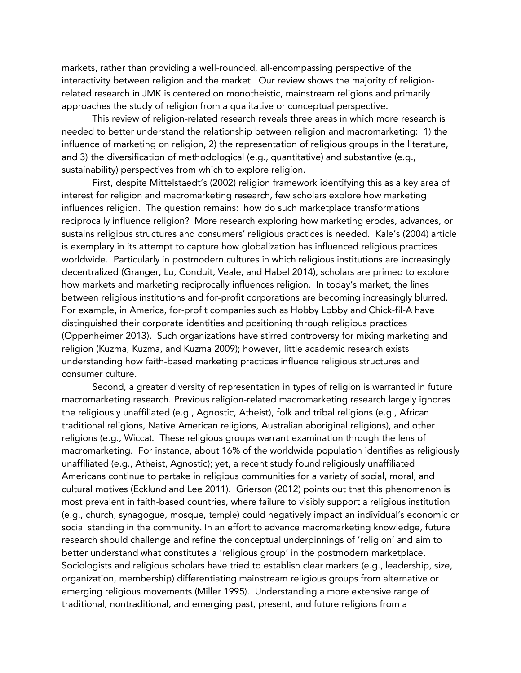markets, rather than providing a well-rounded, all-encompassing perspective of the interactivity between religion and the market. Our review shows the majority of religionrelated research in JMK is centered on monotheistic, mainstream religions and primarily approaches the study of religion from a qualitative or conceptual perspective.

This review of religion-related research reveals three areas in which more research is needed to better understand the relationship between religion and macromarketing: 1) the influence of marketing on religion, 2) the representation of religious groups in the literature, and 3) the diversification of methodological (e.g., quantitative) and substantive (e.g., sustainability) perspectives from which to explore religion.

First, despite Mittelstaedt's (2002) religion framework identifying this as a key area of interest for religion and macromarketing research, few scholars explore how marketing influences religion. The question remains: how do such marketplace transformations reciprocally influence religion? More research exploring how marketing erodes, advances, or sustains religious structures and consumers' religious practices is needed. Kale's (2004) article is exemplary in its attempt to capture how globalization has influenced religious practices worldwide. Particularly in postmodern cultures in which religious institutions are increasingly decentralized (Granger, Lu, Conduit, Veale, and Habel 2014), scholars are primed to explore how markets and marketing reciprocally influences religion. In today's market, the lines between religious institutions and for-profit corporations are becoming increasingly blurred. For example, in America, for-profit companies such as Hobby Lobby and Chick-fil-A have distinguished their corporate identities and positioning through religious practices (Oppenheimer 2013). Such organizations have stirred controversy for mixing marketing and religion (Kuzma, Kuzma, and Kuzma 2009); however, little academic research exists understanding how faith-based marketing practices influence religious structures and consumer culture.

Second, a greater diversity of representation in types of religion is warranted in future macromarketing research. Previous religion-related macromarketing research largely ignores the religiously unaffiliated (e.g., Agnostic, Atheist), folk and tribal religions (e.g., African traditional religions, Native American religions, Australian aboriginal religions), and other religions (e.g., Wicca). These religious groups warrant examination through the lens of macromarketing. For instance, about 16% of the worldwide population identifies as religiously unaffiliated (e.g., Atheist, Agnostic); yet, a recent study found religiously unaffiliated Americans continue to partake in religious communities for a variety of social, moral, and cultural motives (Ecklund and Lee 2011). Grierson (2012) points out that this phenomenon is most prevalent in faith-based countries, where failure to visibly support a religious institution (e.g., church, synagogue, mosque, temple) could negatively impact an individual's economic or social standing in the community. In an effort to advance macromarketing knowledge, future research should challenge and refine the conceptual underpinnings of 'religion' and aim to better understand what constitutes a 'religious group' in the postmodern marketplace. Sociologists and religious scholars have tried to establish clear markers (e.g., leadership, size, organization, membership) differentiating mainstream religious groups from alternative or emerging religious movements (Miller 1995). Understanding a more extensive range of traditional, nontraditional, and emerging past, present, and future religions from a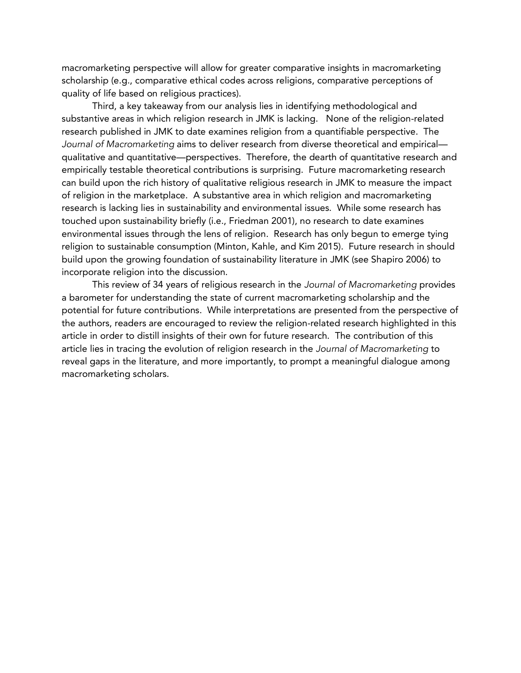macromarketing perspective will allow for greater comparative insights in macromarketing scholarship (e.g., comparative ethical codes across religions, comparative perceptions of quality of life based on religious practices).

Third, a key takeaway from our analysis lies in identifying methodological and substantive areas in which religion research in JMK is lacking. None of the religion-related research published in JMK to date examines religion from a quantifiable perspective. The *Journal of Macromarketing* aims to deliver research from diverse theoretical and empirical qualitative and quantitative—perspectives. Therefore, the dearth of quantitative research and empirically testable theoretical contributions is surprising. Future macromarketing research can build upon the rich history of qualitative religious research in JMK to measure the impact of religion in the marketplace. A substantive area in which religion and macromarketing research is lacking lies in sustainability and environmental issues. While some research has touched upon sustainability briefly (i.e., Friedman 2001), no research to date examines environmental issues through the lens of religion. Research has only begun to emerge tying religion to sustainable consumption (Minton, Kahle, and Kim 2015). Future research in should build upon the growing foundation of sustainability literature in JMK (see Shapiro 2006) to incorporate religion into the discussion.

This review of 34 years of religious research in the *Journal of Macromarketing* provides a barometer for understanding the state of current macromarketing scholarship and the potential for future contributions. While interpretations are presented from the perspective of the authors, readers are encouraged to review the religion-related research highlighted in this article in order to distill insights of their own for future research. The contribution of this article lies in tracing the evolution of religion research in the *Journal of Macromarketing* to reveal gaps in the literature, and more importantly, to prompt a meaningful dialogue among macromarketing scholars.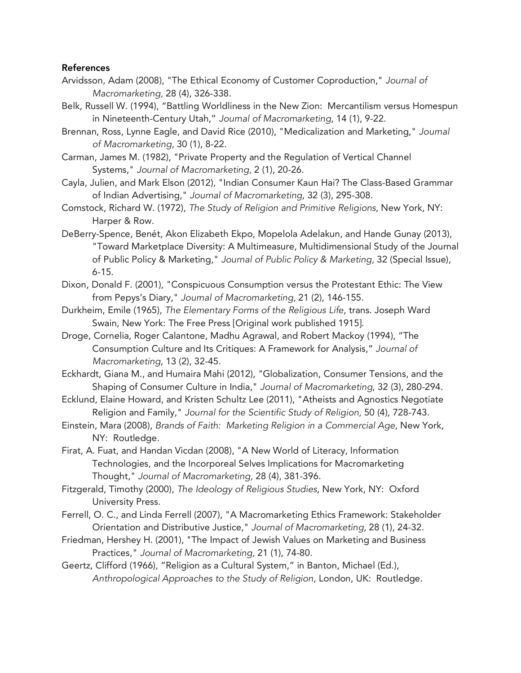#### References

- Arvidsson, Adam (2008), "The Ethical Economy of Customer Coproduction," *Journal of Macromarketing,* 28 (4), 326-338.
- Belk, Russell W. (1994), "Battling Worldliness in the New Zion: Mercantilism versus Homespun in Nineteenth-Century Utah," *Journal of Macromarketing*, 14 (1), 9-22.
- Brennan, Ross, Lynne Eagle, and David Rice (2010), "Medicalization and Marketing," *Journal of Macromarketing,* 30 (1), 8-22.
- Carman, James M. (1982), "Private Property and the Regulation of Vertical Channel Systems," *Journal of Macromarketing,* 2 (1), 20-26.
- Cayla, Julien, and Mark Elson (2012), "Indian Consumer Kaun Hai? The Class-Based Grammar of Indian Advertising," *Journal of Macromarketing*, 32 (3), 295-308.
- Comstock, Richard W. (1972), *The Study of Religion and Primitive Religions*, New York, NY: Harper & Row.
- DeBerry-Spence, Benét, Akon Elizabeth Ekpo, Mopelola Adelakun, and Hande Gunay (2013), "Toward Marketplace Diversity: A Multimeasure, Multidimensional Study of the Journal of Public Policy & Marketing," *Journal of Public Policy & Marketing,* 32 (Special Issue), 6-15.
- Dixon, Donald F. (2001), "Conspicuous Consumption versus the Protestant Ethic: The View from Pepys's Diary," *Journal of Macromarketing,* 21 (2), 146-155.
- Durkheim, Emile (1965), *The Elementary Forms of the Religious Life*, trans. Joseph Ward Swain, New York: The Free Press [Original work published 1915].
- Droge, Cornelia, Roger Calantone, Madhu Agrawal, and Robert Mackoy (1994), "The Consumption Culture and Its Critiques: A Framework for Analysis," *Journal of Macromarketing*, 13 (2), 32-45.
- Eckhardt, Giana M., and Humaira Mahi (2012), "Globalization, Consumer Tensions, and the Shaping of Consumer Culture in India," *Journal of Macromarketing*, 32 (3), 280-294.
- Ecklund, Elaine Howard, and Kristen Schultz Lee (2011), "Atheists and Agnostics Negotiate Religion and Family," *Journal for the Scientific Study of Religion,* 50 (4), 728-743.
- Einstein, Mara (2008), *Brands of Faith: Marketing Religion in a Commercial Age*, New York, NY: Routledge.
- Firat, A. Fuat, and Handan Vicdan (2008), "A New World of Literacy, Information Technologies, and the Incorporeal Selves Implications for Macromarketing Thought," *Journal of Macromarketing,* 28 (4), 381-396.
- Fitzgerald, Timothy (2000), *The Ideology of Religious Studies*, New York, NY: Oxford University Press.
- Ferrell, O. C., and Linda Ferrell (2007), "A Macromarketing Ethics Framework: Stakeholder Orientation and Distributive Justice," *Journal of Macromarketing*, 28 (1), 24-32.
- Friedman, Hershey H. (2001), "The Impact of Jewish Values on Marketing and Business Practices," *Journal of Macromarketing,* 21 (1), 74-80.
- Geertz, Clifford (1966), "Religion as a Cultural System," in Banton, Michael (Ed.), *Anthropological Approaches to the Study of Religion*, London, UK: Routledge.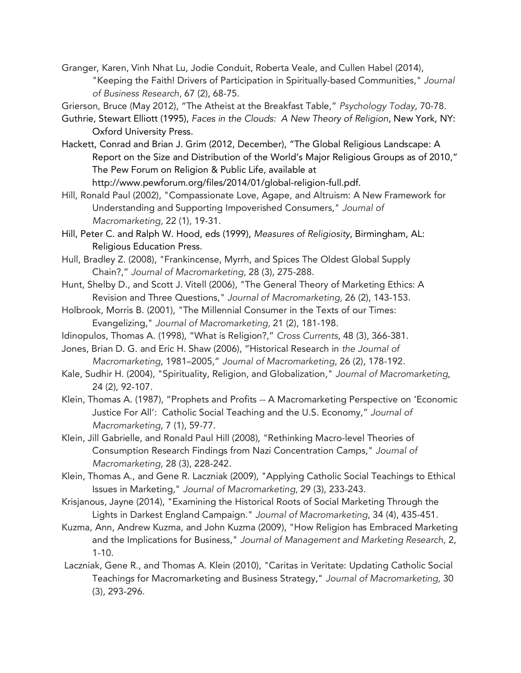Granger, Karen, Vinh Nhat Lu, Jodie Conduit, Roberta Veale, and Cullen Habel (2014), "Keeping the Faith! Drivers of Participation in Spiritually-based Communities," *Journal of Business Research,* 67 (2), 68-75.

Grierson, Bruce (May 2012), "The Atheist at the Breakfast Table," *Psychology Today*, 70-78.

- Guthrie, Stewart Elliott (1995), *Faces in the Clouds: A New Theory of Religion*, New York, NY: Oxford University Press.
- Hackett, Conrad and Brian J. Grim (2012, December), "The Global Religious Landscape: A Report on the Size and Distribution of the World's Major Religious Groups as of 2010," The Pew Forum on Religion & Public Life, available at http://www.pewforum.org/files/2014/01/global-religion-full.pdf.
- Hill, Ronald Paul (2002), "Compassionate Love, Agape, and Altruism: A New Framework for Understanding and Supporting Impoverished Consumers," *Journal of Macromarketing,* 22 (1), 19-31.
- Hill, Peter C. and Ralph W. Hood, eds (1999), *Measures of Religiosity*, Birmingham, AL: Religious Education Press.
- Hull, Bradley Z. (2008), "Frankincense, Myrrh, and Spices The Oldest Global Supply Chain?," *Journal of Macromarketing,* 28 (3), 275-288.
- Hunt, Shelby D., and Scott J. Vitell (2006), "The General Theory of Marketing Ethics: A Revision and Three Questions," *Journal of Macromarketing,* 26 (2), 143-153.
- Holbrook, Morris B. (2001), "The Millennial Consumer in the Texts of our Times: Evangelizing," *Journal of Macromarketing,* 21 (2), 181-198.
- Idinopulos, Thomas A. (1998), "What is Religion?," *Cross Currents*, 48 (3), 366-381.
- Jones, Brian D. G. and Eric H. Shaw (2006), "Historical Research in *the Journal of Macromarketing*, 1981–2005," *Journal of Macromarketing*, 26 (2), 178-192.
- Kale, Sudhir H. (2004), "Spirituality, Religion, and Globalization," *Journal of Macromarketing*, 24 (2), 92-107.
- Klein, Thomas A. (1987), "Prophets and Profits -- A Macromarketing Perspective on 'Economic Justice For All': Catholic Social Teaching and the U.S. Economy," *Journal of Macromarketing*, 7 (1), 59-77.
- Klein, Jill Gabrielle, and Ronald Paul Hill (2008), "Rethinking Macro-level Theories of Consumption Research Findings from Nazi Concentration Camps," *Journal of Macromarketing,* 28 (3), 228-242.
- Klein, Thomas A., and Gene R. Laczniak (2009), "Applying Catholic Social Teachings to Ethical Issues in Marketing," *Journal of Macromarketing,* 29 (3), 233-243.
- Krisjanous, Jayne (2014), "Examining the Historical Roots of Social Marketing Through the Lights in Darkest England Campaign." *Journal of Macromarketing*, 34 (4), 435-451.
- Kuzma, Ann, Andrew Kuzma, and John Kuzma (2009), "How Religion has Embraced Marketing and the Implications for Business," *Journal of Management and Marketing Research,* 2, 1-10.
- Laczniak, Gene R., and Thomas A. Klein (2010), "Caritas in Veritate: Updating Catholic Social Teachings for Macromarketing and Business Strategy," *Journal of Macromarketing,* 30 (3), 293-296.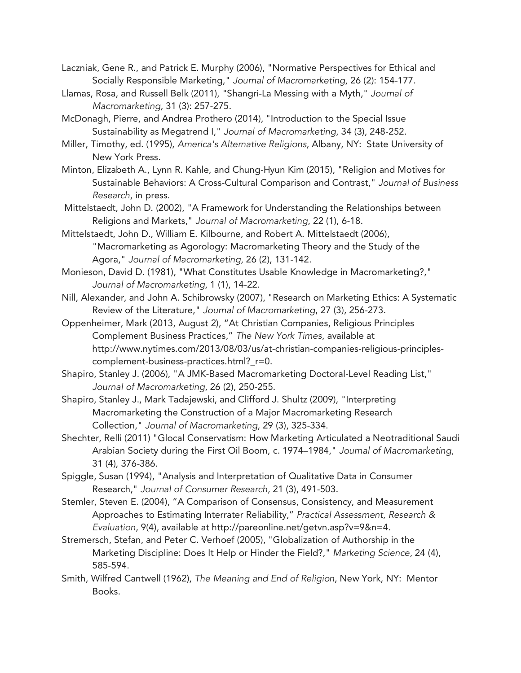- Laczniak, Gene R., and Patrick E. Murphy (2006), "Normative Perspectives for Ethical and Socially Responsible Marketing," *Journal of Macromarketing,* 26 (2): 154-177.
- Llamas, Rosa, and Russell Belk (2011), "Shangri-La Messing with a Myth," *Journal of Macromarketing*, 31 (3): 257-275.
- McDonagh, Pierre, and Andrea Prothero (2014), "Introduction to the Special Issue Sustainability as Megatrend I," *Journal of Macromarketing*, 34 (3), 248-252.
- Miller, Timothy, ed. (1995), *America's Alternative Religions*, Albany, NY: State University of New York Press.
- Minton, Elizabeth A., Lynn R. Kahle, and Chung-Hyun Kim (2015), "Religion and Motives for Sustainable Behaviors: A Cross-Cultural Comparison and Contrast," *Journal of Business Research*, in press.
- Mittelstaedt, John D. (2002), "A Framework for Understanding the Relationships between Religions and Markets," *Journal of Macromarketing*, 22 (1), 6-18.
- Mittelstaedt, John D., William E. Kilbourne, and Robert A. Mittelstaedt (2006), "Macromarketing as Agorology: Macromarketing Theory and the Study of the Agora," *Journal of Macromarketing,* 26 (2), 131-142.
- Monieson, David D. (1981), "What Constitutes Usable Knowledge in Macromarketing?," *Journal of Macromarketing*, 1 (1), 14-22.
- Nill, Alexander, and John A. Schibrowsky (2007), "Research on Marketing Ethics: A Systematic Review of the Literature," *Journal of Macromarketing*, 27 (3), 256-273.
- Oppenheimer, Mark (2013, August 2), "At Christian Companies, Religious Principles Complement Business Practices," *The New York Times*, available at http://www.nytimes.com/2013/08/03/us/at-christian-companies-religious-principlescomplement-business-practices.html?\_r=0.
- Shapiro, Stanley J. (2006), "A JMK-Based Macromarketing Doctoral-Level Reading List," *Journal of Macromarketing,* 26 (2), 250-255.
- Shapiro, Stanley J., Mark Tadajewski, and Clifford J. Shultz (2009), "Interpreting Macromarketing the Construction of a Major Macromarketing Research Collection," *Journal of Macromarketing*, 29 (3), 325-334.
- Shechter, Relli (2011) "Glocal Conservatism: How Marketing Articulated a Neotraditional Saudi Arabian Society during the First Oil Boom, c. 1974–1984," *Journal of Macromarketing,*  31 (4), 376-386.
- Spiggle, Susan (1994), "Analysis and Interpretation of Qualitative Data in Consumer Research," *Journal of Consumer Research,* 21 (3), 491-503.
- Stemler, Steven E. (2004), "A Comparison of Consensus, Consistency, and Measurement Approaches to Estimating Interrater Reliability," *Practical Assessment, Research & Evaluation*, 9(4), available at http://pareonline.net/getvn.asp?v=9&n=4.
- Stremersch, Stefan, and Peter C. Verhoef (2005), "Globalization of Authorship in the Marketing Discipline: Does It Help or Hinder the Field?," *Marketing Science,* 24 (4), 585-594.
- Smith, Wilfred Cantwell (1962), *The Meaning and End of Religion*, New York, NY: Mentor Books.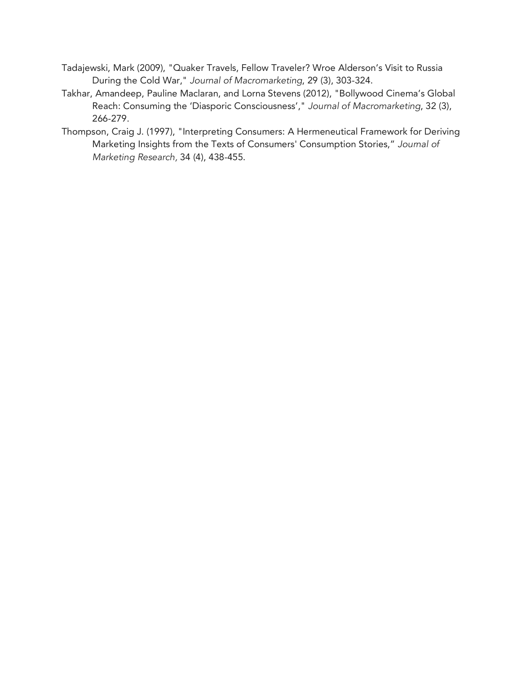- Tadajewski, Mark (2009), "Quaker Travels, Fellow Traveler? Wroe Alderson's Visit to Russia During the Cold War," *Journal of Macromarketing*, 29 (3), 303-324.
- Takhar, Amandeep, Pauline Maclaran, and Lorna Stevens (2012), "Bollywood Cinema's Global Reach: Consuming the 'Diasporic Consciousness'," *Journal of Macromarketing*, 32 (3), 266-279.
- Thompson, Craig J. (1997), "Interpreting Consumers: A Hermeneutical Framework for Deriving Marketing Insights from the Texts of Consumers' Consumption Stories," *Journal of Marketing Research,* 34 (4), 438-455.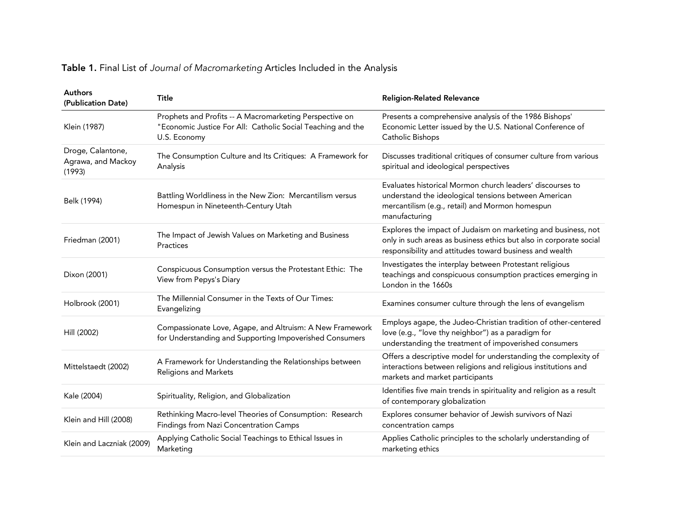|  |  |  |  |  | Table 1. Final List of Journal of Macromarketing Articles Included in the Analysis |  |  |  |  |  |  |
|--|--|--|--|--|------------------------------------------------------------------------------------|--|--|--|--|--|--|
|--|--|--|--|--|------------------------------------------------------------------------------------|--|--|--|--|--|--|

| <b>Authors</b><br>(Publication Date)              | Title                                                                                                                                  | <b>Religion-Related Relevance</b>                                                                                                                                                              |
|---------------------------------------------------|----------------------------------------------------------------------------------------------------------------------------------------|------------------------------------------------------------------------------------------------------------------------------------------------------------------------------------------------|
| Klein (1987)                                      | Prophets and Profits -- A Macromarketing Perspective on<br>"Economic Justice For All: Catholic Social Teaching and the<br>U.S. Economy | Presents a comprehensive analysis of the 1986 Bishops'<br>Economic Letter issued by the U.S. National Conference of<br>Catholic Bishops                                                        |
| Droge, Calantone,<br>Agrawa, and Mackoy<br>(1993) | The Consumption Culture and Its Critiques: A Framework for<br>Analysis                                                                 | Discusses traditional critiques of consumer culture from various<br>spiritual and ideological perspectives                                                                                     |
| Belk (1994)                                       | Battling Worldliness in the New Zion: Mercantilism versus<br>Homespun in Nineteenth-Century Utah                                       | Evaluates historical Mormon church leaders' discourses to<br>understand the ideological tensions between American<br>mercantilism (e.g., retail) and Mormon homespun<br>manufacturing          |
| Friedman (2001)                                   | The Impact of Jewish Values on Marketing and Business<br>Practices                                                                     | Explores the impact of Judaism on marketing and business, not<br>only in such areas as business ethics but also in corporate social<br>responsibility and attitudes toward business and wealth |
| Dixon (2001)                                      | Conspicuous Consumption versus the Protestant Ethic: The<br>View from Pepys's Diary                                                    | Investigates the interplay between Protestant religious<br>teachings and conspicuous consumption practices emerging in<br>London in the 1660s                                                  |
| Holbrook (2001)                                   | The Millennial Consumer in the Texts of Our Times:<br>Evangelizing                                                                     | Examines consumer culture through the lens of evangelism                                                                                                                                       |
| Hill (2002)                                       | Compassionate Love, Agape, and Altruism: A New Framework<br>for Understanding and Supporting Impoverished Consumers                    | Employs agape, the Judeo-Christian tradition of other-centered<br>love (e.g., "love thy neighbor") as a paradigm for<br>understanding the treatment of impoverished consumers                  |
| Mittelstaedt (2002)                               | A Framework for Understanding the Relationships between<br>Religions and Markets                                                       | Offers a descriptive model for understanding the complexity of<br>interactions between religions and religious institutions and<br>markets and market participants                             |
| Kale (2004)                                       | Spirituality, Religion, and Globalization                                                                                              | Identifies five main trends in spirituality and religion as a result<br>of contemporary globalization                                                                                          |
| Klein and Hill (2008)                             | Rethinking Macro-level Theories of Consumption: Research<br>Findings from Nazi Concentration Camps                                     | Explores consumer behavior of Jewish survivors of Nazi<br>concentration camps                                                                                                                  |
| Klein and Laczniak (2009)                         | Applying Catholic Social Teachings to Ethical Issues in<br>Marketing                                                                   | Applies Catholic principles to the scholarly understanding of<br>marketing ethics                                                                                                              |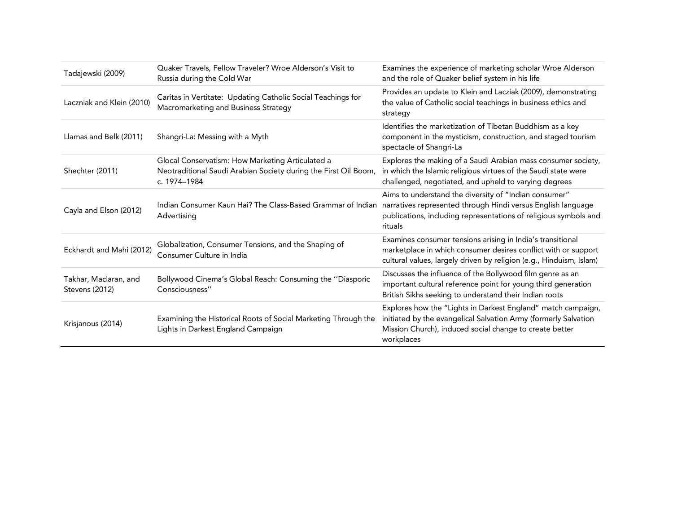| Tadajewski (2009)                       | Quaker Travels, Fellow Traveler? Wroe Alderson's Visit to<br>Russia during the Cold War                                             | Examines the experience of marketing scholar Wroe Alderson<br>and the role of Quaker belief system in his life                                                                                           |
|-----------------------------------------|-------------------------------------------------------------------------------------------------------------------------------------|----------------------------------------------------------------------------------------------------------------------------------------------------------------------------------------------------------|
| Laczniak and Klein (2010)               | Caritas in Vertitate: Updating Catholic Social Teachings for<br>Macromarketing and Business Strategy                                | Provides an update to Klein and Lacziak (2009), demonstrating<br>the value of Catholic social teachings in business ethics and<br>strategy                                                               |
| Llamas and Belk (2011)                  | Shangri-La: Messing with a Myth                                                                                                     | Identifies the marketization of Tibetan Buddhism as a key<br>component in the mysticism, construction, and staged tourism<br>spectacle of Shangri-La                                                     |
| Shechter (2011)                         | Glocal Conservatism: How Marketing Articulated a<br>Neotraditional Saudi Arabian Society during the First Oil Boom,<br>c. 1974–1984 | Explores the making of a Saudi Arabian mass consumer society,<br>in which the Islamic religious virtues of the Saudi state were<br>challenged, negotiated, and upheld to varying degrees                 |
| Cayla and Elson (2012)                  | Indian Consumer Kaun Hai? The Class-Based Grammar of Indian<br>Advertising                                                          | Aims to understand the diversity of "Indian consumer"<br>narratives represented through Hindi versus English language<br>publications, including representations of religious symbols and<br>rituals     |
| Eckhardt and Mahi (2012)                | Globalization, Consumer Tensions, and the Shaping of<br>Consumer Culture in India                                                   | Examines consumer tensions arising in India's transitional<br>marketplace in which consumer desires conflict with or support<br>cultural values, largely driven by religion (e.g., Hinduism, Islam)      |
| Takhar, Maclaran, and<br>Stevens (2012) | Bollywood Cinema's Global Reach: Consuming the "Diasporic<br>Consciousness"                                                         | Discusses the influence of the Bollywood film genre as an<br>important cultural reference point for young third generation<br>British Sikhs seeking to understand their Indian roots                     |
| Krisjanous (2014)                       | Examining the Historical Roots of Social Marketing Through the<br>Lights in Darkest England Campaign                                | Explores how the "Lights in Darkest England" match campaign,<br>initiated by the evangelical Salvation Army (formerly Salvation<br>Mission Church), induced social change to create better<br>workplaces |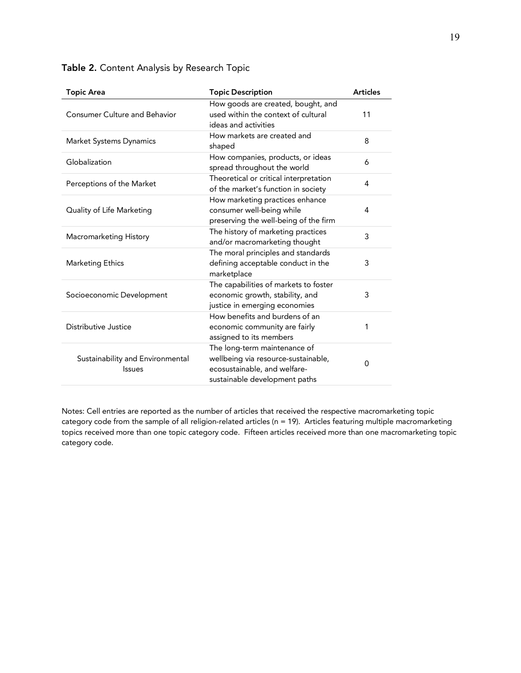| <b>Topic Area</b>                                 | <b>Topic Description</b>                                                                                                             | <b>Articles</b> |
|---------------------------------------------------|--------------------------------------------------------------------------------------------------------------------------------------|-----------------|
| <b>Consumer Culture and Behavior</b>              | How goods are created, bought, and<br>used within the context of cultural<br>ideas and activities                                    | 11              |
| Market Systems Dynamics                           | How markets are created and<br>shaped                                                                                                | 8               |
| Globalization                                     | How companies, products, or ideas<br>spread throughout the world                                                                     | 6               |
| Perceptions of the Market                         | Theoretical or critical interpretation<br>of the market's function in society                                                        | 4               |
| Quality of Life Marketing                         | How marketing practices enhance<br>consumer well-being while<br>preserving the well-being of the firm                                | 4               |
| Macromarketing History                            | The history of marketing practices<br>and/or macromarketing thought                                                                  | 3               |
| <b>Marketing Ethics</b>                           | The moral principles and standards<br>defining acceptable conduct in the<br>marketplace                                              | 3               |
| Socioeconomic Development                         | The capabilities of markets to foster<br>economic growth, stability, and<br>justice in emerging economies                            | 3               |
| Distributive Justice                              | How benefits and burdens of an<br>economic community are fairly<br>assigned to its members                                           | 1               |
| Sustainability and Environmental<br><b>Issues</b> | The long-term maintenance of<br>wellbeing via resource-sustainable,<br>ecosustainable, and welfare-<br>sustainable development paths | 0               |

# Table 2. Content Analysis by Research Topic

Notes: Cell entries are reported as the number of articles that received the respective macromarketing topic category code from the sample of all religion-related articles (n = 19). Articles featuring multiple macromarketing topics received more than one topic category code. Fifteen articles received more than one macromarketing topic category code.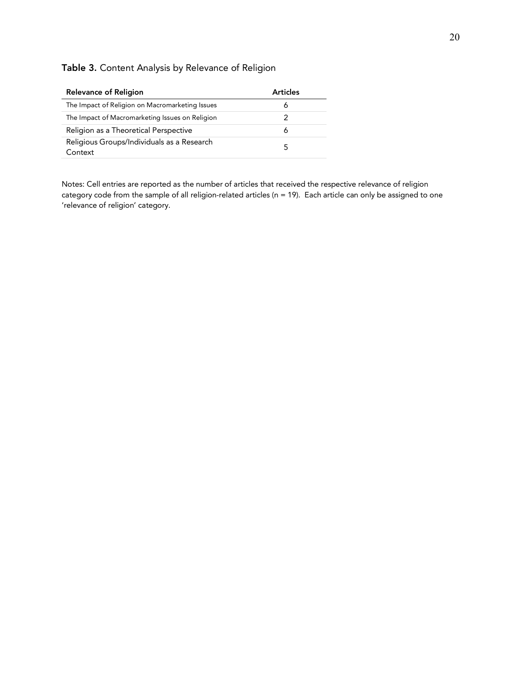# Table 3. Content Analysis by Relevance of Religion

| <b>Relevance of Religion</b>                          | <b>Articles</b> |
|-------------------------------------------------------|-----------------|
| The Impact of Religion on Macromarketing Issues       |                 |
| The Impact of Macromarketing Issues on Religion       |                 |
| Religion as a Theoretical Perspective                 | 6               |
| Religious Groups/Individuals as a Research<br>Context |                 |

Notes: Cell entries are reported as the number of articles that received the respective relevance of religion category code from the sample of all religion-related articles ( $n = 19$ ). Each article can only be assigned to one 'relevance of religion' category.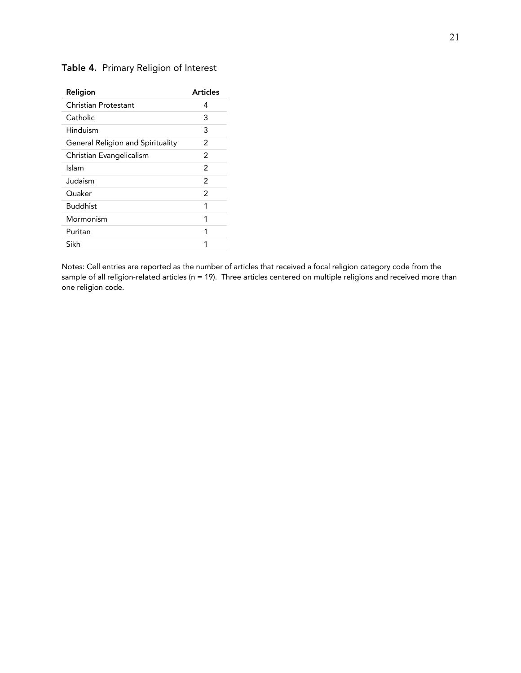# Table 4. Primary Religion of Interest

| Religion                          | <b>Articles</b> |
|-----------------------------------|-----------------|
| Christian Protestant              | 4               |
| Catholic                          | 3               |
| Hinduism                          | 3               |
| General Religion and Spirituality | 2               |
| Christian Evangelicalism          | $\mathcal{P}$   |
| Islam                             | $\mathcal{P}$   |
| Judaism                           | $\mathcal{P}$   |
| Ouaker                            | 2               |
| <b>Buddhist</b>                   | 1               |
| Mormonism                         | 1               |
| Puritan                           | 1               |
| Sikh                              | 1               |
|                                   |                 |

Notes: Cell entries are reported as the number of articles that received a focal religion category code from the sample of all religion-related articles (n = 19). Three articles centered on multiple religions and received more than one religion code.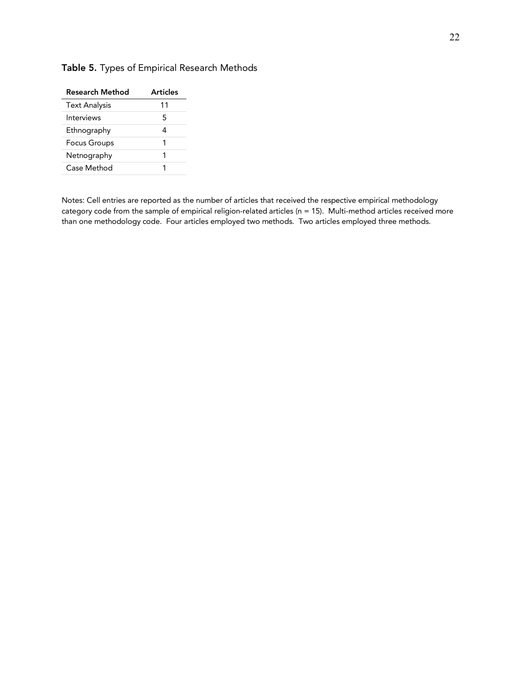| Research Method      | <b>Articles</b> |
|----------------------|-----------------|
| <b>Text Analysis</b> | 11              |
| Interviews           | 5               |
| Ethnography          | Δ               |
| <b>Focus Groups</b>  |                 |
| Netnography          |                 |
| Case Method          |                 |

# Table 5. Types of Empirical Research Methods

Notes: Cell entries are reported as the number of articles that received the respective empirical methodology category code from the sample of empirical religion-related articles (n = 15). Multi-method articles received more than one methodology code. Four articles employed two methods. Two articles employed three methods.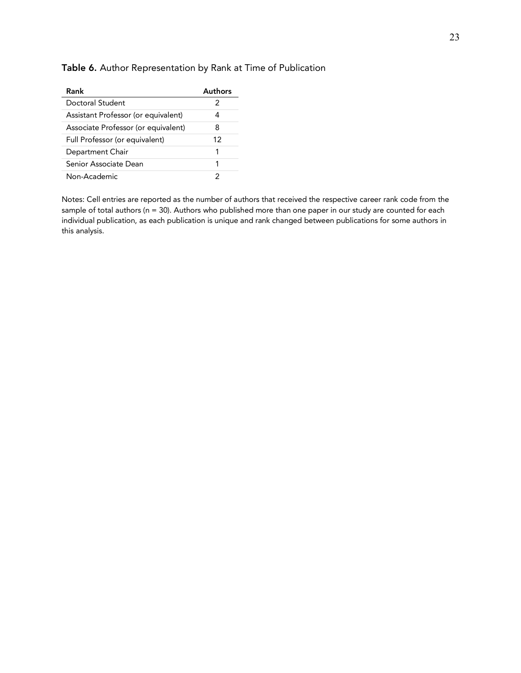| Rank                                | Authors |
|-------------------------------------|---------|
| Doctoral Student                    | 2       |
| Assistant Professor (or equivalent) | 4       |
| Associate Professor (or equivalent) | 8       |
| Full Professor (or equivalent)      | 12      |
| Department Chair                    | 1       |
| Senior Associate Dean               | 1       |
| Non-Academic                        | 2       |

# Table 6. Author Representation by Rank at Time of Publication

Notes: Cell entries are reported as the number of authors that received the respective career rank code from the sample of total authors (n = 30). Authors who published more than one paper in our study are counted for each individual publication, as each publication is unique and rank changed between publications for some authors in this analysis.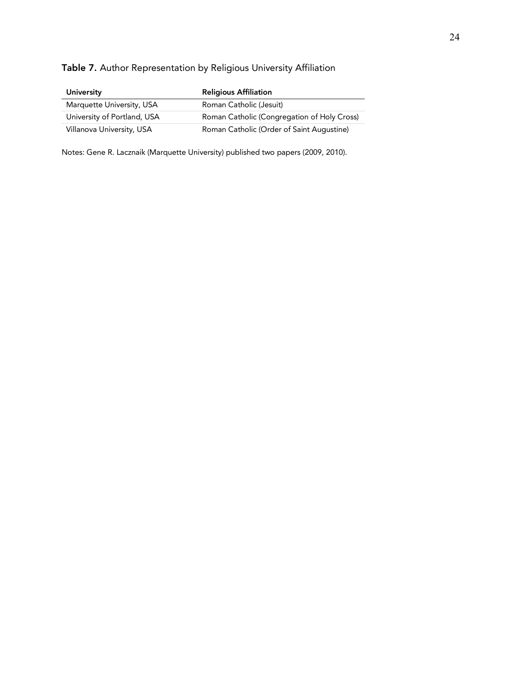# Table 7. Author Representation by Religious University Affiliation

| University                  | <b>Religious Affiliation</b>                |
|-----------------------------|---------------------------------------------|
| Marquette University, USA   | Roman Catholic (Jesuit)                     |
| University of Portland, USA | Roman Catholic (Congregation of Holy Cross) |
| Villanova University, USA   | Roman Catholic (Order of Saint Augustine)   |

Notes: Gene R. Lacznaik (Marquette University) published two papers (2009, 2010).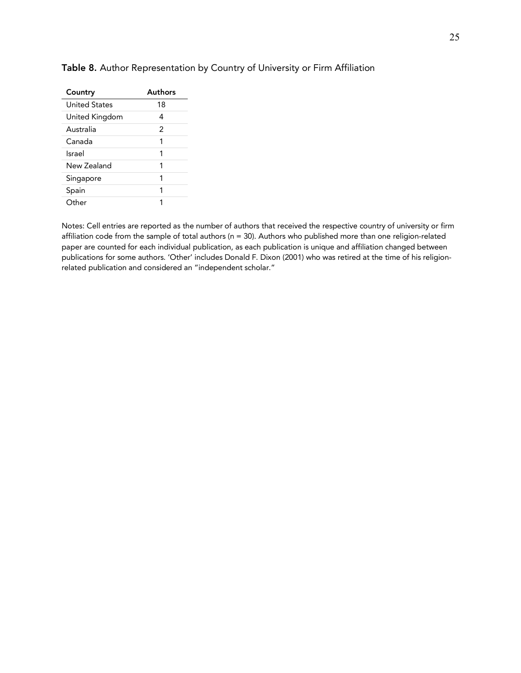| Country              | Authors        |
|----------------------|----------------|
| <b>United States</b> | 18             |
| United Kingdom       | 4              |
| Australia            | $\mathfrak{p}$ |
| Canada               | 1              |
| Israel               | 1              |
| New Zealand          | 1              |
| Singapore            | 1              |
| Spain                | 1              |
| Other                |                |

#### Table 8. Author Representation by Country of University or Firm Affiliation

Notes: Cell entries are reported as the number of authors that received the respective country of university or firm affiliation code from the sample of total authors (n = 30). Authors who published more than one religion-related paper are counted for each individual publication, as each publication is unique and affiliation changed between publications for some authors. 'Other' includes Donald F. Dixon (2001) who was retired at the time of his religionrelated publication and considered an "independent scholar."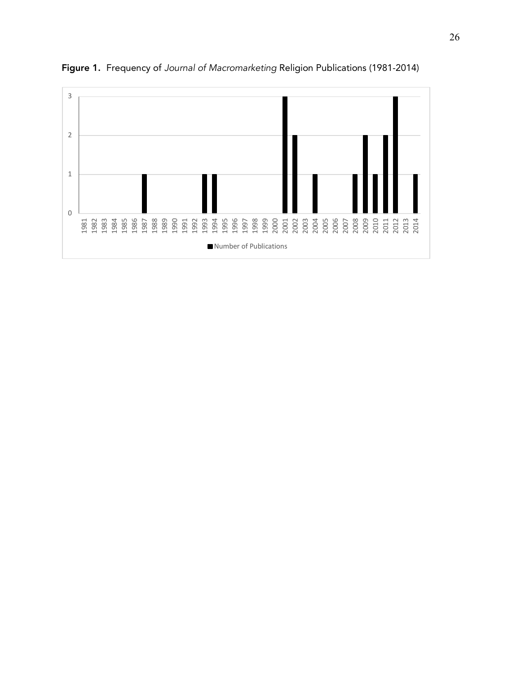

Figure 1. Frequency of *Journal of Macromarketing* Religion Publications (1981-2014)